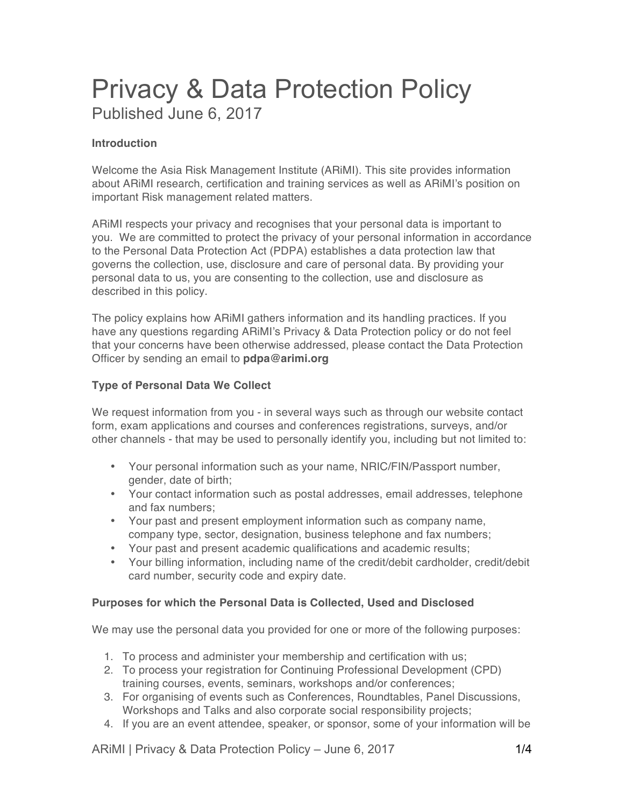# Privacy & Data Protection Policy Published June 6, 2017

# **Introduction**

Welcome the Asia Risk Management Institute (ARiMI). This site provides information about ARiMI research, certification and training services as well as ARiMI's position on important Risk management related matters.

ARiMI respects your privacy and recognises that your personal data is important to you. We are committed to protect the privacy of your personal information in accordance to the Personal Data Protection Act (PDPA) establishes a data protection law that governs the collection, use, disclosure and care of personal data. By providing your personal data to us, you are consenting to the collection, use and disclosure as described in this policy.

The policy explains how ARiMI gathers information and its handling practices. If you have any questions regarding ARiMI's Privacy & Data Protection policy or do not feel that your concerns have been otherwise addressed, please contact the Data Protection Officer by sending an email to **pdpa@arimi.org**

# **Type of Personal Data We Collect**

We request information from you - in several ways such as through our website contact form, exam applications and courses and conferences registrations, surveys, and/or other channels - that may be used to personally identify you, including but not limited to:

- Your personal information such as your name, NRIC/FIN/Passport number, gender, date of birth;
- Your contact information such as postal addresses, email addresses, telephone and fax numbers;
- Your past and present employment information such as company name, company type, sector, designation, business telephone and fax numbers;
- Your past and present academic qualifications and academic results;
- Your billing information, including name of the credit/debit cardholder, credit/debit card number, security code and expiry date.

## **Purposes for which the Personal Data is Collected, Used and Disclosed**

We may use the personal data you provided for one or more of the following purposes:

- 1. To process and administer your membership and certification with us;
- 2. To process your registration for Continuing Professional Development (CPD) training courses, events, seminars, workshops and/or conferences;
- 3. For organising of events such as Conferences, Roundtables, Panel Discussions, Workshops and Talks and also corporate social responsibility projects;
- 4. If you are an event attendee, speaker, or sponsor, some of your information will be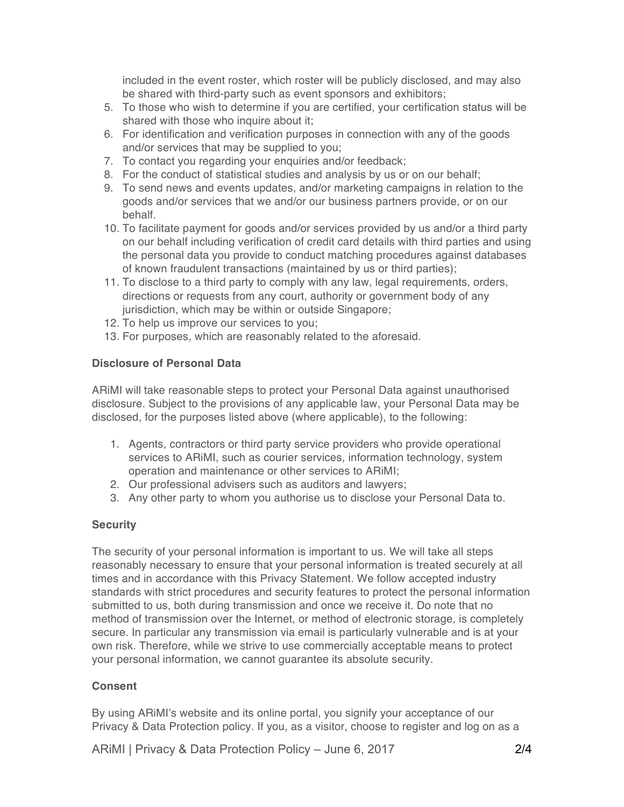included in the event roster, which roster will be publicly disclosed, and may also be shared with third-party such as event sponsors and exhibitors;

- 5. To those who wish to determine if you are certified, your certification status will be shared with those who inquire about it;
- 6. For identification and verification purposes in connection with any of the goods and/or services that may be supplied to you;
- 7. To contact you regarding your enquiries and/or feedback;
- 8. For the conduct of statistical studies and analysis by us or on our behalf;
- 9. To send news and events updates, and/or marketing campaigns in relation to the goods and/or services that we and/or our business partners provide, or on our behalf.
- 10. To facilitate payment for goods and/or services provided by us and/or a third party on our behalf including verification of credit card details with third parties and using the personal data you provide to conduct matching procedures against databases of known fraudulent transactions (maintained by us or third parties);
- 11. To disclose to a third party to comply with any law, legal requirements, orders, directions or requests from any court, authority or government body of any jurisdiction, which may be within or outside Singapore;
- 12. To help us improve our services to you;
- 13. For purposes, which are reasonably related to the aforesaid.

#### **Disclosure of Personal Data**

ARiMI will take reasonable steps to protect your Personal Data against unauthorised disclosure. Subject to the provisions of any applicable law, your Personal Data may be disclosed, for the purposes listed above (where applicable), to the following:

- 1. Agents, contractors or third party service providers who provide operational services to ARiMI, such as courier services, information technology, system operation and maintenance or other services to ARiMI;
- 2. Our professional advisers such as auditors and lawyers;
- 3. Any other party to whom you authorise us to disclose your Personal Data to.

## **Security**

The security of your personal information is important to us. We will take all steps reasonably necessary to ensure that your personal information is treated securely at all times and in accordance with this Privacy Statement. We follow accepted industry standards with strict procedures and security features to protect the personal information submitted to us, both during transmission and once we receive it. Do note that no method of transmission over the Internet, or method of electronic storage, is completely secure. In particular any transmission via email is particularly vulnerable and is at your own risk. Therefore, while we strive to use commercially acceptable means to protect your personal information, we cannot guarantee its absolute security.

## **Consent**

By using ARiMI's website and its online portal, you signify your acceptance of our Privacy & Data Protection policy. If you, as a visitor, choose to register and log on as a

ARIMI | Privacy & Data Protection Policy – June 6, 2017 24